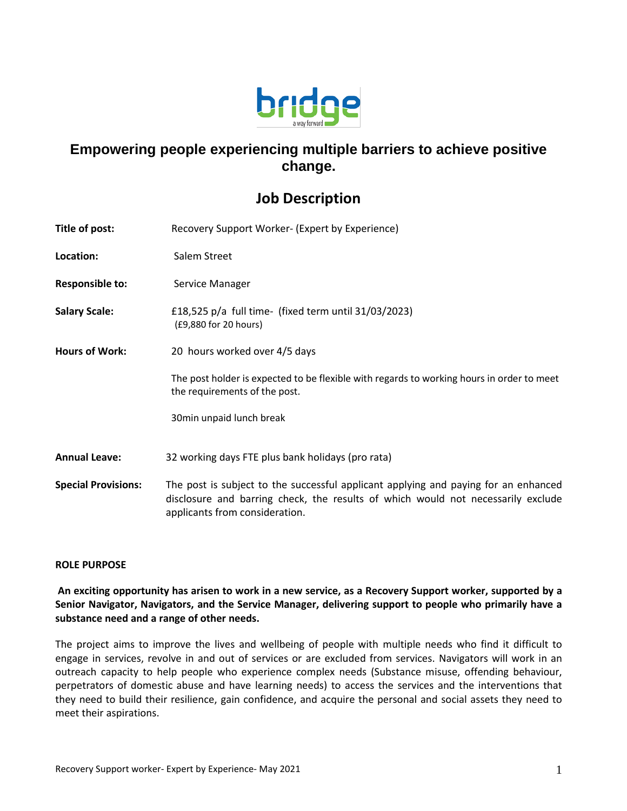

## **Empowering people experiencing multiple barriers to achieve positive change.**

## **Job Description**

| Title of post:             | Recovery Support Worker- (Expert by Experience)                                                                                                                                                           |
|----------------------------|-----------------------------------------------------------------------------------------------------------------------------------------------------------------------------------------------------------|
| Location:                  | Salem Street                                                                                                                                                                                              |
| <b>Responsible to:</b>     | Service Manager                                                                                                                                                                                           |
| <b>Salary Scale:</b>       | £18,525 $p/a$ full time- (fixed term until 31/03/2023)<br>(£9,880 for 20 hours)                                                                                                                           |
| <b>Hours of Work:</b>      | 20 hours worked over 4/5 days                                                                                                                                                                             |
|                            | The post holder is expected to be flexible with regards to working hours in order to meet<br>the requirements of the post.                                                                                |
|                            | 30min unpaid lunch break                                                                                                                                                                                  |
| <b>Annual Leave:</b>       | 32 working days FTE plus bank holidays (pro rata)                                                                                                                                                         |
| <b>Special Provisions:</b> | The post is subject to the successful applicant applying and paying for an enhanced<br>disclosure and barring check, the results of which would not necessarily exclude<br>applicants from consideration. |

## **ROLE PURPOSE**

**An exciting opportunity has arisen to work in a new service, as a Recovery Support worker, supported by a Senior Navigator, Navigators, and the Service Manager, delivering support to people who primarily have a substance need and a range of other needs.**

The project aims to improve the lives and wellbeing of people with multiple needs who find it difficult to engage in services, revolve in and out of services or are excluded from services. Navigators will work in an outreach capacity to help people who experience complex needs (Substance misuse, offending behaviour, perpetrators of domestic abuse and have learning needs) to access the services and the interventions that they need to build their resilience, gain confidence, and acquire the personal and social assets they need to meet their aspirations.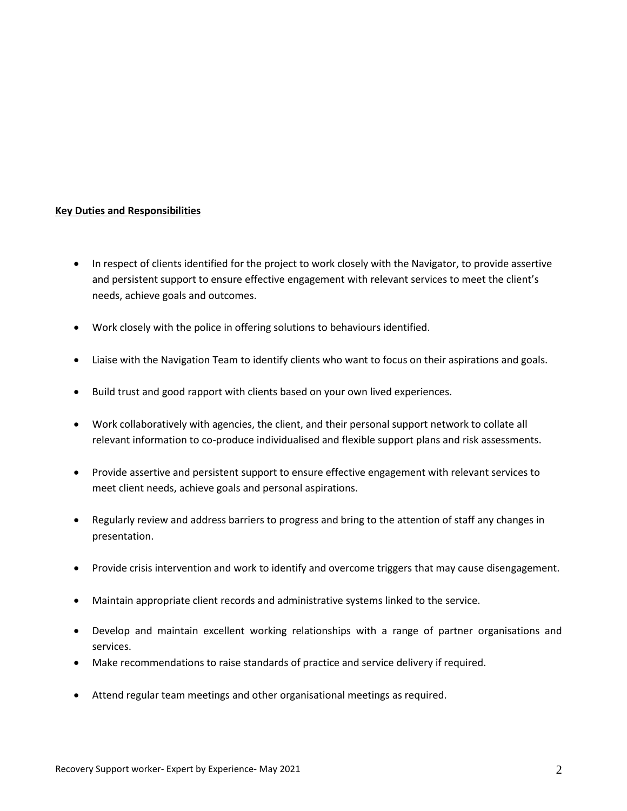## **Key Duties and Responsibilities**

- In respect of clients identified for the project to work closely with the Navigator, to provide assertive and persistent support to ensure effective engagement with relevant services to meet the client's needs, achieve goals and outcomes.
- Work closely with the police in offering solutions to behaviours identified.
- Liaise with the Navigation Team to identify clients who want to focus on their aspirations and goals.
- Build trust and good rapport with clients based on your own lived experiences.
- Work collaboratively with agencies, the client, and their personal support network to collate all relevant information to co-produce individualised and flexible support plans and risk assessments.
- Provide assertive and persistent support to ensure effective engagement with relevant services to meet client needs, achieve goals and personal aspirations.
- Regularly review and address barriers to progress and bring to the attention of staff any changes in presentation.
- Provide crisis intervention and work to identify and overcome triggers that may cause disengagement.
- Maintain appropriate client records and administrative systems linked to the service.
- Develop and maintain excellent working relationships with a range of partner organisations and services.
- Make recommendations to raise standards of practice and service delivery if required.
- Attend regular team meetings and other organisational meetings as required.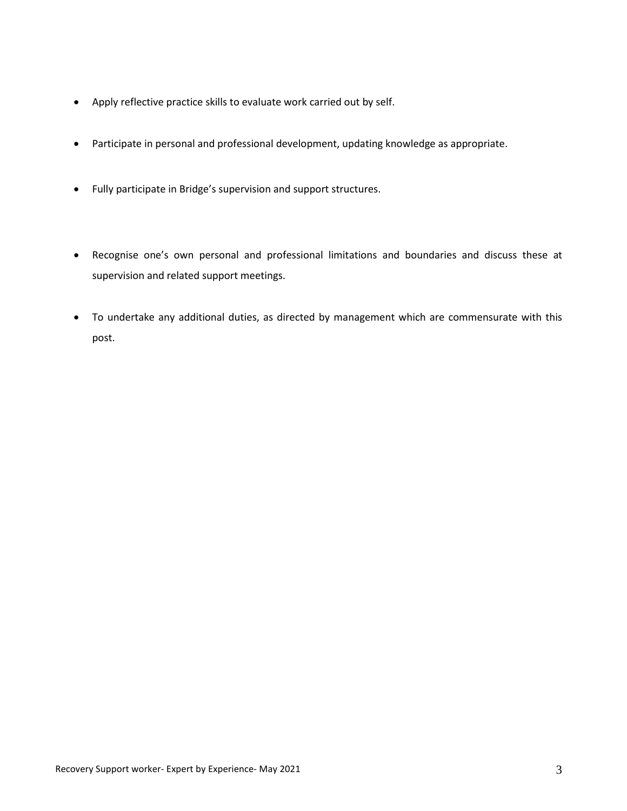- Apply reflective practice skills to evaluate work carried out by self.
- Participate in personal and professional development, updating knowledge as appropriate.
- Fully participate in Bridge's supervision and support structures.
- Recognise one's own personal and professional limitations and boundaries and discuss these at supervision and related support meetings.
- To undertake any additional duties, as directed by management which are commensurate with this post.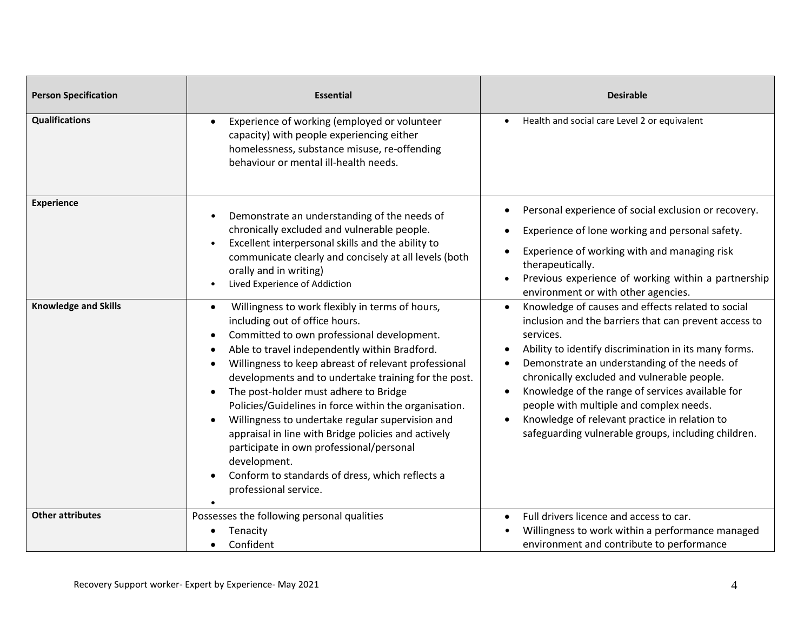| <b>Person Specification</b> | <b>Essential</b>                                                                                                                                                                                                                                                                                                                                                                                                                                                                                                                                                                                                                                                                                          | <b>Desirable</b>                                                                                                                                                                                                                                                                                                                                                                                                                                                                                                 |
|-----------------------------|-----------------------------------------------------------------------------------------------------------------------------------------------------------------------------------------------------------------------------------------------------------------------------------------------------------------------------------------------------------------------------------------------------------------------------------------------------------------------------------------------------------------------------------------------------------------------------------------------------------------------------------------------------------------------------------------------------------|------------------------------------------------------------------------------------------------------------------------------------------------------------------------------------------------------------------------------------------------------------------------------------------------------------------------------------------------------------------------------------------------------------------------------------------------------------------------------------------------------------------|
| <b>Qualifications</b>       | Experience of working (employed or volunteer<br>$\bullet$<br>capacity) with people experiencing either<br>homelessness, substance misuse, re-offending<br>behaviour or mental ill-health needs.                                                                                                                                                                                                                                                                                                                                                                                                                                                                                                           | Health and social care Level 2 or equivalent                                                                                                                                                                                                                                                                                                                                                                                                                                                                     |
| <b>Experience</b>           | Demonstrate an understanding of the needs of<br>chronically excluded and vulnerable people.<br>Excellent interpersonal skills and the ability to<br>$\bullet$<br>communicate clearly and concisely at all levels (both<br>orally and in writing)<br>Lived Experience of Addiction<br>$\bullet$                                                                                                                                                                                                                                                                                                                                                                                                            | Personal experience of social exclusion or recovery.<br>Experience of lone working and personal safety.<br>Experience of working with and managing risk<br>therapeutically.<br>Previous experience of working within a partnership<br>environment or with other agencies.                                                                                                                                                                                                                                        |
| <b>Knowledge and Skills</b> | Willingness to work flexibly in terms of hours,<br>$\bullet$<br>including out of office hours.<br>Committed to own professional development.<br>$\bullet$<br>Able to travel independently within Bradford.<br>Willingness to keep abreast of relevant professional<br>developments and to undertake training for the post.<br>The post-holder must adhere to Bridge<br>$\bullet$<br>Policies/Guidelines in force within the organisation.<br>Willingness to undertake regular supervision and<br>$\bullet$<br>appraisal in line with Bridge policies and actively<br>participate in own professional/personal<br>development.<br>Conform to standards of dress, which reflects a<br>professional service. | Knowledge of causes and effects related to social<br>$\bullet$<br>inclusion and the barriers that can prevent access to<br>services.<br>Ability to identify discrimination in its many forms.<br>Demonstrate an understanding of the needs of<br>chronically excluded and vulnerable people.<br>Knowledge of the range of services available for<br>$\bullet$<br>people with multiple and complex needs.<br>Knowledge of relevant practice in relation to<br>safeguarding vulnerable groups, including children. |
| <b>Other attributes</b>     | Possesses the following personal qualities<br>Tenacity<br>Confident                                                                                                                                                                                                                                                                                                                                                                                                                                                                                                                                                                                                                                       | Full drivers licence and access to car.<br>Willingness to work within a performance managed<br>environment and contribute to performance                                                                                                                                                                                                                                                                                                                                                                         |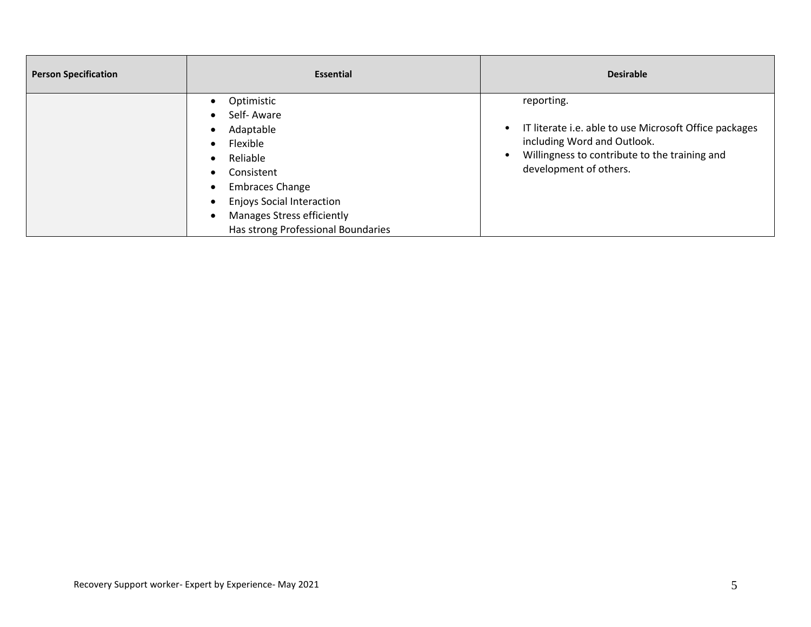| <b>Person Specification</b> | <b>Essential</b>                                                                                                                                                                                                                                                                                                             | <b>Desirable</b>                                                                                                                                                               |
|-----------------------------|------------------------------------------------------------------------------------------------------------------------------------------------------------------------------------------------------------------------------------------------------------------------------------------------------------------------------|--------------------------------------------------------------------------------------------------------------------------------------------------------------------------------|
|                             | Optimistic<br>$\bullet$<br>Self-Aware<br>$\bullet$<br>Adaptable<br>$\bullet$<br>Flexible<br>$\bullet$<br>Reliable<br>$\bullet$<br>Consistent<br>$\bullet$<br><b>Embraces Change</b><br>$\bullet$<br><b>Enjoys Social Interaction</b><br>$\bullet$<br><b>Manages Stress efficiently</b><br>Has strong Professional Boundaries | reporting.<br>IT literate i.e. able to use Microsoft Office packages<br>including Word and Outlook.<br>Willingness to contribute to the training and<br>development of others. |